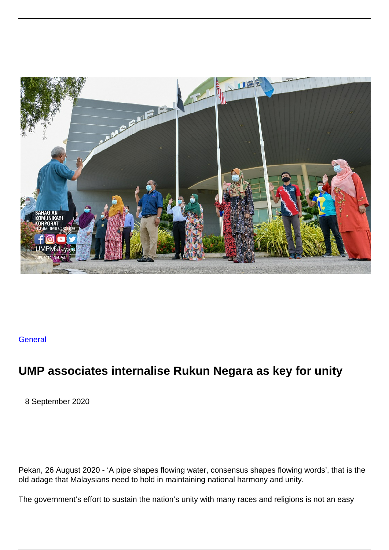

## **[General](/general)**

## **UMP associates internalise Rukun Negara as key for unity**

8 September 2020

Pekan, 26 August 2020 - 'A pipe shapes flowing water, consensus shapes flowing words', that is the old adage that Malaysians need to hold in maintaining national harmony and unity.

The government's effort to sustain the nation's unity with many races and religions is not an easy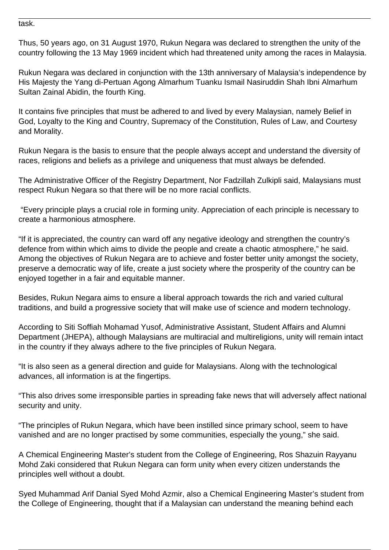task.

Thus, 50 years ago, on 31 August 1970, Rukun Negara was declared to strengthen the unity of the country following the 13 May 1969 incident which had threatened unity among the races in Malaysia.

Rukun Negara was declared in conjunction with the 13th anniversary of Malaysia's independence by His Majesty the Yang di-Pertuan Agong Almarhum Tuanku Ismail Nasiruddin Shah Ibni Almarhum Sultan Zainal Abidin, the fourth King.

It contains five principles that must be adhered to and lived by every Malaysian, namely Belief in God, Loyalty to the King and Country, Supremacy of the Constitution, Rules of Law, and Courtesy and Morality.

Rukun Negara is the basis to ensure that the people always accept and understand the diversity of races, religions and beliefs as a privilege and uniqueness that must always be defended.

The Administrative Officer of the Registry Department, Nor Fadzillah Zulkipli said, Malaysians must respect Rukun Negara so that there will be no more racial conflicts.

 "Every principle plays a crucial role in forming unity. Appreciation of each principle is necessary to create a harmonious atmosphere.

"If it is appreciated, the country can ward off any negative ideology and strengthen the country's defence from within which aims to divide the people and create a chaotic atmosphere," he said. Among the objectives of Rukun Negara are to achieve and foster better unity amongst the society, preserve a democratic way of life, create a just society where the prosperity of the country can be enjoyed together in a fair and equitable manner.

Besides, Rukun Negara aims to ensure a liberal approach towards the rich and varied cultural traditions, and build a progressive society that will make use of science and modern technology.

According to Siti Soffiah Mohamad Yusof, Administrative Assistant, Student Affairs and Alumni Department (JHEPA), although Malaysians are multiracial and multireligions, unity will remain intact in the country if they always adhere to the five principles of Rukun Negara.

"It is also seen as a general direction and guide for Malaysians. Along with the technological advances, all information is at the fingertips.

"This also drives some irresponsible parties in spreading fake news that will adversely affect national security and unity.

"The principles of Rukun Negara, which have been instilled since primary school, seem to have vanished and are no longer practised by some communities, especially the young," she said.

A Chemical Engineering Master's student from the College of Engineering, Ros Shazuin Rayyanu Mohd Zaki considered that Rukun Negara can form unity when every citizen understands the principles well without a doubt.

Syed Muhammad Arif Danial Syed Mohd Azmir, also a Chemical Engineering Master's student from the College of Engineering, thought that if a Malaysian can understand the meaning behind each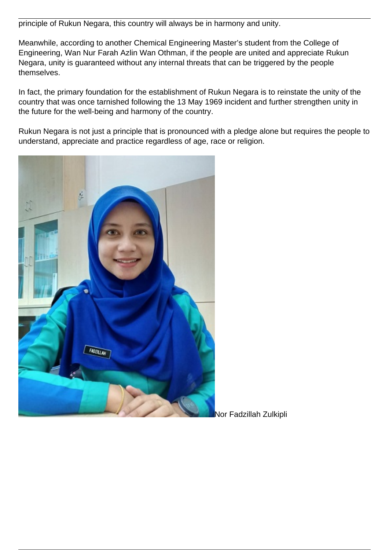principle of Rukun Negara, this country will always be in harmony and unity.

Meanwhile, according to another Chemical Engineering Master's student from the College of Engineering, Wan Nur Farah Azlin Wan Othman, if the people are united and appreciate Rukun Negara, unity is guaranteed without any internal threats that can be triggered by the people themselves.

In fact, the primary foundation for the establishment of Rukun Negara is to reinstate the unity of the country that was once tarnished following the 13 May 1969 incident and further strengthen unity in the future for the well-being and harmony of the country.

Rukun Negara is not just a principle that is pronounced with a pledge alone but requires the people to understand, appreciate and practice regardless of age, race or religion.



Nor Fadzillah Zulkipli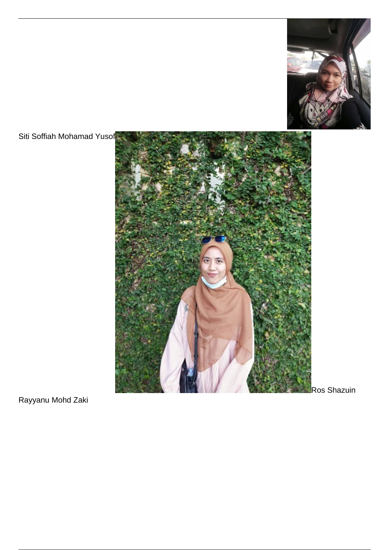

Siti Soffiah Mohamad Yusof



Rayyanu Mohd Zaki

Ros Shazuin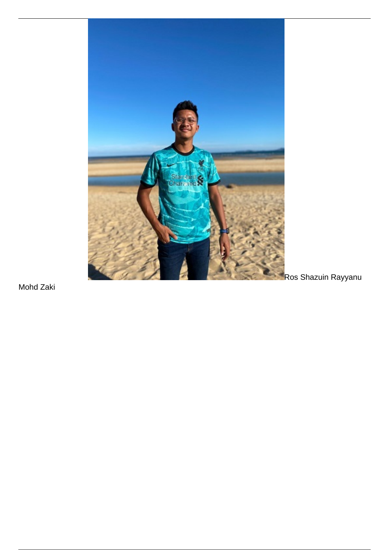

Mohd Zaki

Ros Shazuin Rayyanu